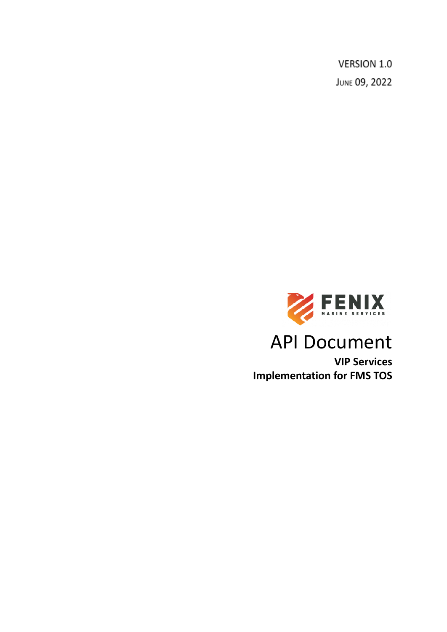VERSION 1.0 JUNE 09, 2022



# API Document

**VIP Services Implementation for FMS TOS**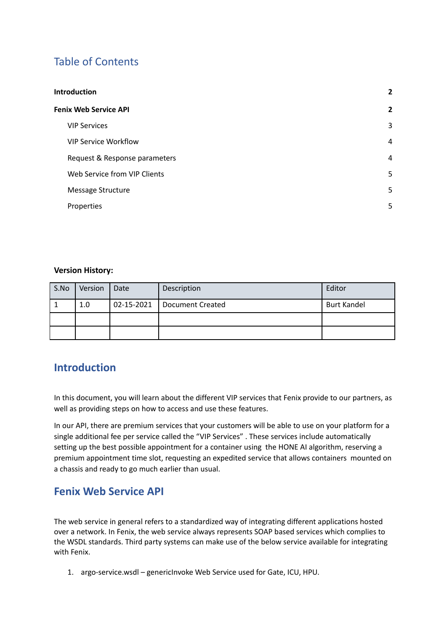## Table of Contents

| <b>Introduction</b> |                               | $\mathbf{2}$   |
|---------------------|-------------------------------|----------------|
|                     | <b>Fenix Web Service API</b>  | $\overline{2}$ |
|                     | <b>VIP Services</b>           | 3              |
|                     | <b>VIP Service Workflow</b>   | 4              |
|                     | Request & Response parameters | 4              |
|                     | Web Service from VIP Clients  | 5              |
|                     | Message Structure             | 5.             |
|                     | Properties                    | 5              |

#### **Version History:**

| S.No | Version | Date | Description                   | Editor             |
|------|---------|------|-------------------------------|--------------------|
|      | 1.0     |      | 02-15-2021   Document Created | <b>Burt Kandel</b> |
|      |         |      |                               |                    |
|      |         |      |                               |                    |

## <span id="page-1-0"></span>**Introduction**

In this document, you will learn about the different VIP services that Fenix provide to our partners, as well as providing steps on how to access and use these features.

In our API, there are premium services that your customers will be able to use on your platform for a single additional fee per service called the "VIP Services" . These services include automatically setting up the best possible appointment for a container using the HONE AI algorithm, reserving a premium appointment time slot, requesting an expedited service that allows containers mounted on a chassis and ready to go much earlier than usual.

## <span id="page-1-1"></span>**Fenix Web Service API**

The web service in general refers to a standardized way of integrating different applications hosted over a network. In Fenix, the web service always represents SOAP based services which complies to the WSDL standards. Third party systems can make use of the below service available for integrating with Fenix.

1. argo-service.wsdl – genericInvoke Web Service used for Gate, ICU, HPU.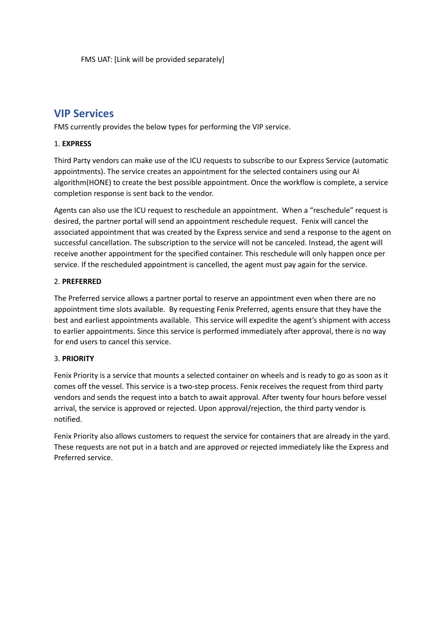### <span id="page-2-0"></span>**VIP Services**

FMS currently provides the below types for performing the VIP service.

#### 1. **EXPRESS**

Third Party vendors can make use of the ICU requests to subscribe to our Express Service (automatic appointments). The service creates an appointment for the selected containers using our AI algorithm(HONE) to create the best possible appointment. Once the workflow is complete, a service completion response is sent back to the vendor.

Agents can also use the ICU request to reschedule an appointment. When a "reschedule" request is desired, the partner portal will send an appointment reschedule request. Fenix will cancel the associated appointment that was created by the Express service and send a response to the agent on successful cancellation. The subscription to the service will not be canceled. Instead, the agent will receive another appointment for the specified container. This reschedule will only happen once per service. If the rescheduled appointment is cancelled, the agent must pay again for the service.

#### 2. **PREFERRED**

The Preferred service allows a partner portal to reserve an appointment even when there are no appointment time slots available. By requesting Fenix Preferred, agents ensure that they have the best and earliest appointments available. This service will expedite the agent's shipment with access to earlier appointments. Since this service is performed immediately after approval, there is no way for end users to cancel this service.

#### 3. **PRIORITY**

Fenix Priority is a service that mounts a selected container on wheels and is ready to go as soon as it comes off the vessel. This service is a two-step process. Fenix receives the request from third party vendors and sends the request into a batch to await approval. After twenty four hours before vessel arrival, the service is approved or rejected. Upon approval/rejection, the third party vendor is notified.

Fenix Priority also allows customers to request the service for containers that are already in the yard. These requests are not put in a batch and are approved or rejected immediately like the Express and Preferred service.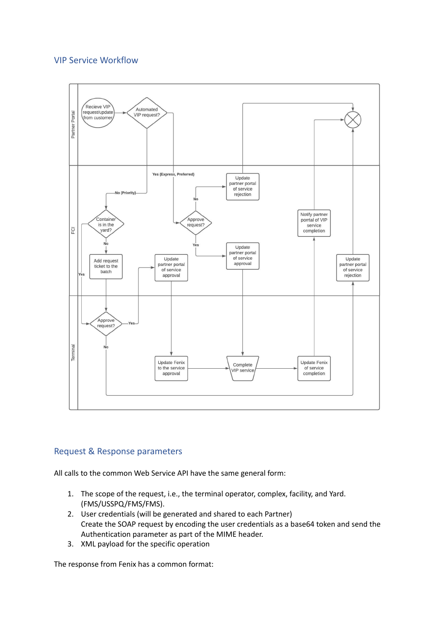#### <span id="page-3-0"></span>VIP Service Workflow



#### <span id="page-3-1"></span>Request & Response parameters

All calls to the common Web Service API have the same general form:

- 1. The scope of the request, i.e., the terminal operator, complex, facility, and Yard. (FMS/USSPQ/FMS/FMS).
- 2. User credentials (will be generated and shared to each Partner) Create the SOAP request by encoding the user credentials as a base64 token and send the Authentication parameter as part of the MIME header.
- 3. XML payload for the specific operation

The response from Fenix has a common format: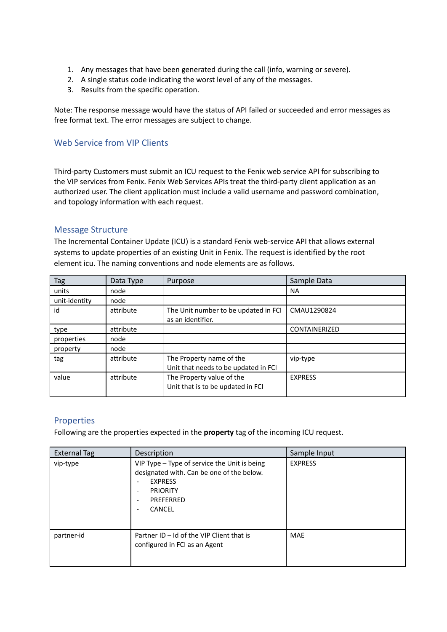- 1. Any messages that have been generated during the call (info, warning or severe).
- 2. A single status code indicating the worst level of any of the messages.
- 3. Results from the specific operation.

Note: The response message would have the status of API failed or succeeded and error messages as free format text. The error messages are subject to change.

#### <span id="page-4-0"></span>Web Service from VIP Clients

Third-party Customers must submit an ICU request to the Fenix web service API for subscribing to the VIP services from Fenix. Fenix Web Services APIs treat the third-party client application as an authorized user. The client application must include a valid username and password combination, and topology information with each request.

#### <span id="page-4-1"></span>Message Structure

The Incremental Container Update (ICU) is a standard Fenix web-service API that allows external systems to update properties of an existing Unit in Fenix. The request is identified by the root element icu. The naming conventions and node elements are as follows.

| Tag           | Data Type | Purpose                                                          | Sample Data          |
|---------------|-----------|------------------------------------------------------------------|----------------------|
| units         | node      |                                                                  | <b>NA</b>            |
| unit-identity | node      |                                                                  |                      |
| id            | attribute | The Unit number to be updated in FCI<br>as an identifier.        | CMAU1290824          |
| type          | attribute |                                                                  | <b>CONTAINERIZED</b> |
| properties    | node      |                                                                  |                      |
| property      | node      |                                                                  |                      |
| tag           | attribute | The Property name of the<br>Unit that needs to be updated in FCI | vip-type             |
| value         | attribute | The Property value of the<br>Unit that is to be updated in FCI   | <b>EXPRESS</b>       |

#### <span id="page-4-2"></span>Properties

Following are the properties expected in the **property** tag of the incoming ICU request.

| <b>External Tag</b> | Description                                                                                                                                                                                                                                                                  | Sample Input   |
|---------------------|------------------------------------------------------------------------------------------------------------------------------------------------------------------------------------------------------------------------------------------------------------------------------|----------------|
| vip-type            | VIP Type - Type of service the Unit is being<br>designated with. Can be one of the below.<br><b>EXPRESS</b><br>$\overline{\phantom{0}}$<br><b>PRIORITY</b><br>$\overline{\phantom{a}}$<br>PREFERRED<br>$\overline{\phantom{a}}$<br><b>CANCEL</b><br>$\overline{\phantom{a}}$ | <b>EXPRESS</b> |
| partner-id          | Partner ID - Id of the VIP Client that is<br>configured in FCI as an Agent                                                                                                                                                                                                   | <b>MAE</b>     |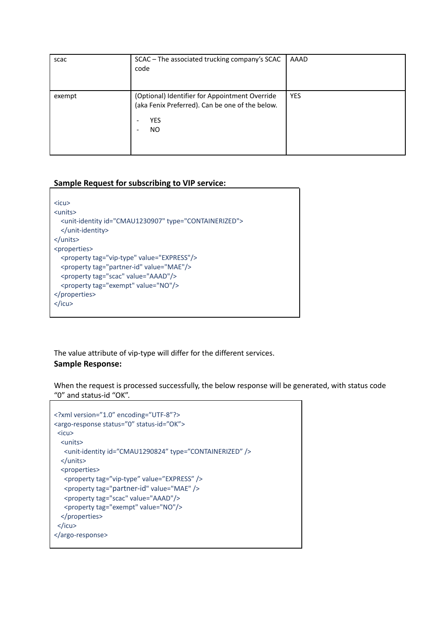| scac   | SCAC - The associated trucking company's SCAC<br>code                                                                                                                         | AAAD       |
|--------|-------------------------------------------------------------------------------------------------------------------------------------------------------------------------------|------------|
| exempt | (Optional) Identifier for Appointment Override<br>(aka Fenix Preferred). Can be one of the below.<br><b>YES</b><br>$\overline{\phantom{a}}$<br>ΝO<br>$\overline{\phantom{a}}$ | <b>YES</b> |

#### **Sample Request for subscribing to VIP service:**

```
<icu>
<units>
 <unit-identity id="CMAU1230907" type="CONTAINERIZED">
 </unit-identity>
</units>
<properties>
 <property tag="vip-type" value="EXPRESS"/>
 <property tag="partner-id" value="MAE"/>
 <property tag="scac" value="AAAD"/>
 <property tag="exempt" value="NO"/>
</properties>
</icu>
```
The value attribute of vip-type will differ for the different services. **Sample Response:**

When the request is processed successfully, the below response will be generated, with status code "0" and status-id "OK".

```
<?xml version="1.0" encoding="UTF-8"?>
<argo-response status="0" status-id="OK">
<icu>
  <units>
  <unit-identity id="CMAU1290824" type="CONTAINERIZED" />
 </units>
  <properties>
  <property tag="vip-type" value="EXPRESS" />
  <property tag="partner-id" value="MAE" />
  <property tag="scac" value="AAAD"/>
  <property tag="exempt" value="NO"/>
 </properties>
 </icu>
</argo-response>
```